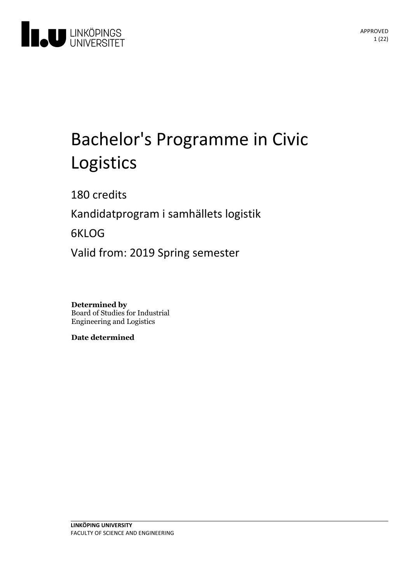

# Bachelor's Programme in Civic Logistics

180 credits

Kandidatprogram i samhällets logistik

6KLOG

Valid from: 2019 Spring semester

**Determined by** Board of Studies for Industrial Engineering and Logistics

**Date determined**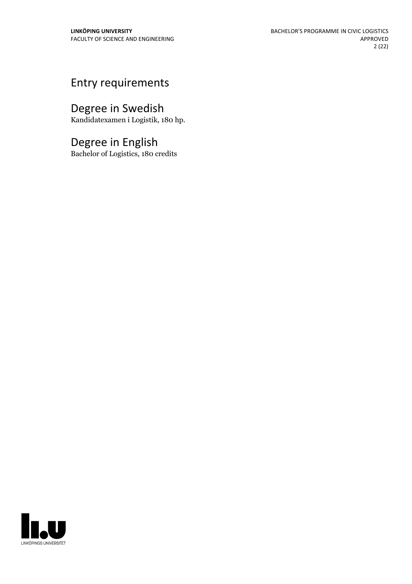## Entry requirements

## Degree in Swedish

Kandidatexamen i Logistik, 180 hp.

## Degree in English

Bachelor of Logistics, 180 credits

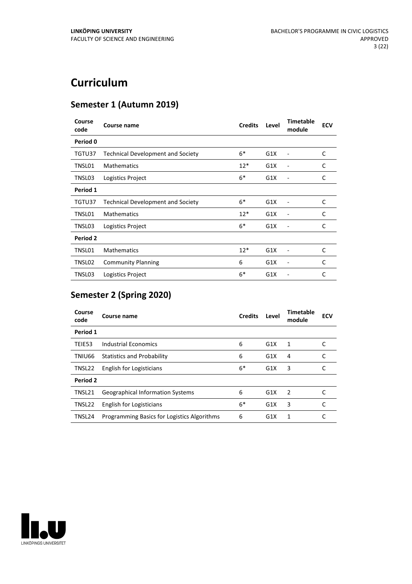## **Curriculum**

## **Semester 1 (Autumn 2019)**

| Course<br>code | Course name                              | <b>Credits</b> | Level | <b>Timetable</b><br>module | <b>ECV</b> |
|----------------|------------------------------------------|----------------|-------|----------------------------|------------|
| Period 0       |                                          |                |       |                            |            |
| TGTU37         | <b>Technical Development and Society</b> | $6*$           | G1X   |                            | C          |
| TNSL01         | <b>Mathematics</b>                       | $12*$          | G1X   |                            | C          |
| TNSL03         | Logistics Project                        | $6*$           | G1X   |                            | C          |
| Period 1       |                                          |                |       |                            |            |
| TGTU37         | <b>Technical Development and Society</b> | $6*$           | G1X   |                            | C          |
| TNSL01         | <b>Mathematics</b>                       | $12*$          | G1X   |                            | C          |
| TNSL03         | Logistics Project                        | $6*$           | G1X   |                            | C          |
| Period 2       |                                          |                |       |                            |            |
| TNSL01         | <b>Mathematics</b>                       | $12*$          | G1X   |                            | C          |
| TNSL02         | <b>Community Planning</b>                | 6              | G1X   | $\qquad \qquad -$          | C          |
| TNSL03         | Logistics Project                        | $6*$           | G1X   |                            | C          |

## **Semester 2 (Spring 2020)**

| Course<br>code | Course name                                 | <b>Credits</b> | Level            | Timetable<br>module | <b>ECV</b> |
|----------------|---------------------------------------------|----------------|------------------|---------------------|------------|
| Period 1       |                                             |                |                  |                     |            |
| TEIE53         | Industrial Economics                        | 6              | G1X              | 1                   |            |
| TNIU66         | <b>Statistics and Probability</b>           | 6              | G1X              | 4                   |            |
| TNSL22         | English for Logisticians                    | $6*$           | G1X              | 3                   |            |
| Period 2       |                                             |                |                  |                     |            |
| TNSL21         | <b>Geographical Information Systems</b>     | 6              | G1X              | $\mathcal{P}$       |            |
| TNSL22         | English for Logisticians                    | $6*$           | G1X              | 3                   | C          |
| TNSL24         | Programming Basics for Logistics Algorithms | 6              | G <sub>1</sub> X | 1                   |            |

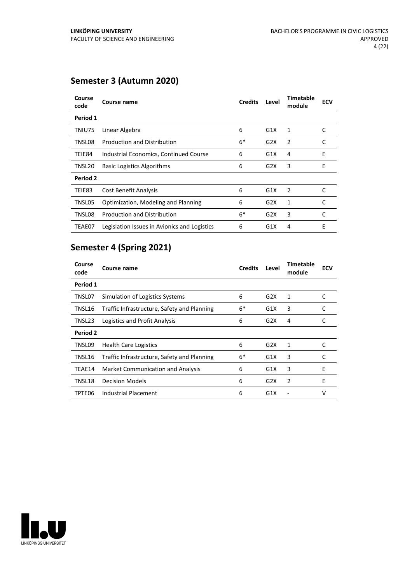## **Semester 3 (Autumn 2020)**

| Course<br>code | Course name                                  | <b>Credits</b> | Level | Timetable<br>module | <b>ECV</b> |  |
|----------------|----------------------------------------------|----------------|-------|---------------------|------------|--|
| Period 1       |                                              |                |       |                     |            |  |
| TNIU75         | Linear Algebra                               | 6              | G1X   | 1                   | C          |  |
| TNSL08         | <b>Production and Distribution</b>           | $6*$           | G2X   | 2                   | C          |  |
| TEIE84         | Industrial Economics, Continued Course       | 6              | G1X   | 4                   | E          |  |
| TNSL20         | <b>Basic Logistics Algorithms</b>            | 6              | G2X   | 3                   | E          |  |
| Period 2       |                                              |                |       |                     |            |  |
| TEIE83         | <b>Cost Benefit Analysis</b>                 | 6              | G1X   | 2                   | C          |  |
| TNSL05         | Optimization, Modeling and Planning          | 6              | G2X   | 1                   | C          |  |
| TNSL08         | <b>Production and Distribution</b>           | $6*$           | G2X   | 3                   | C          |  |
| TEAE07         | Legislation Issues in Avionics and Logistics | 6              | G1X   | 4                   | E          |  |

## **Semester 4 (Spring 2021)**

| Course<br>code | Course name                                 | <b>Credits</b> | Level | <b>Timetable</b><br>module | <b>ECV</b> |  |
|----------------|---------------------------------------------|----------------|-------|----------------------------|------------|--|
| Period 1       |                                             |                |       |                            |            |  |
| TNSL07         | Simulation of Logistics Systems             | 6              | G2X   | 1                          | C          |  |
| TNSL16         | Traffic Infrastructure, Safety and Planning | $6*$           | G1X   | 3                          | C          |  |
| TNSL23         | Logistics and Profit Analysis               | 6              | G2X   | 4                          | C          |  |
| Period 2       |                                             |                |       |                            |            |  |
| TNSL09         | <b>Health Care Logistics</b>                | 6              | G2X   | 1                          | C          |  |
| TNSL16         | Traffic Infrastructure, Safety and Planning | 6*             | G1X   | 3                          | C          |  |
| TEAE14         | Market Communication and Analysis           | 6              | G1X   | 3                          | E          |  |
| TNSL18         | <b>Decision Models</b>                      | 6              | G2X   | 2                          | E          |  |
| TPTE06         | Industrial Placement                        | 6              | G1X   |                            | v          |  |

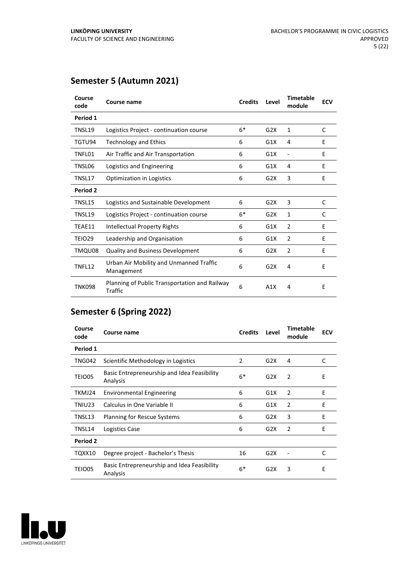## **Semester 5 (Autumn 2021)**

| Course<br>code | Course name                                                     | <b>Credits</b> | Level | <b>Timetable</b><br>module | <b>ECV</b> |
|----------------|-----------------------------------------------------------------|----------------|-------|----------------------------|------------|
| Period 1       |                                                                 |                |       |                            |            |
| TNSL19         | Logistics Project - continuation course                         | $6*$           | G2X   | 1                          | C          |
| TGTU94         | Technology and Ethics                                           | 6              | G1X   | 4                          | E          |
| TNFL01         | Air Traffic and Air Transportation                              | 6              | G1X   | ÷                          | E          |
| TNSL06         | Logistics and Engineering                                       | 6              | G1X   | 4                          | E          |
| TNSL17         | <b>Optimization in Logistics</b>                                | 6              | G2X   | 3                          | E          |
| Period 2       |                                                                 |                |       |                            |            |
| TNSL15         | Logistics and Sustainable Development                           | 6              | G2X   | 3                          | C          |
| TNSL19         | Logistics Project - continuation course                         | $6*$           | G2X   | $\mathbf{1}$               | C          |
| TEAE11         | Intellectual Property Rights                                    | 6              | G1X   | 2                          | F          |
| TEIO29         | Leadership and Organisation                                     | 6              | G1X   | $\overline{2}$             | E          |
| TMQU08         | <b>Quality and Business Development</b>                         | 6              | G2X   | 2                          | E          |
| TNFL12         | Urban Air Mobility and Unmanned Traffic<br>Management           | 6              | G2X   | 4                          | E          |
| TNK098         | Planning of Public Transportation and Railway<br><b>Traffic</b> | 6              | A1X   | 4                          | E          |

## **Semester 6 (Spring 2022)**

| Course<br>code | Course name                                             | <b>Credits</b> | Level | <b>Timetable</b><br>module | <b>ECV</b> |
|----------------|---------------------------------------------------------|----------------|-------|----------------------------|------------|
| Period 1       |                                                         |                |       |                            |            |
| <b>TNG042</b>  | Scientific Methodology in Logistics                     | 2              | G2X   | 4                          | C          |
| TEIO05         | Basic Entrepreneurship and Idea Feasibility<br>Analysis | $6*$           | G2X   | 2                          | E          |
| TKMJ24         | <b>Environmental Engineering</b>                        | 6              | G1X   | 2                          | E          |
| TNIU23         | Calculus in One Variable II                             | 6              | G1X   | 2                          | E          |
| TNSL13         | <b>Planning for Rescue Systems</b>                      | 6              | G2X   | 3                          | F          |
| TNSL14         | Logistics Case                                          | 6              | G2X   | 2                          | E          |
| Period 2       |                                                         |                |       |                            |            |
| TQXX10         | Degree project - Bachelor's Thesis                      | 16             | G2X   |                            | C          |
| <b>TEIO05</b>  | Basic Entrepreneurship and Idea Feasibility<br>Analysis | $6*$           | G2X   | 3                          | E          |

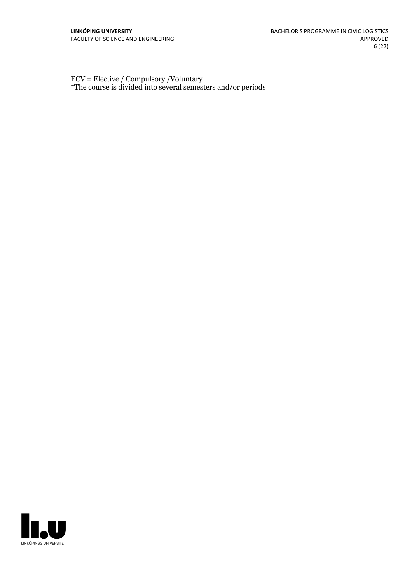ECV = Elective / Compulsory /Voluntary \*The course is divided into several semesters and/or periods

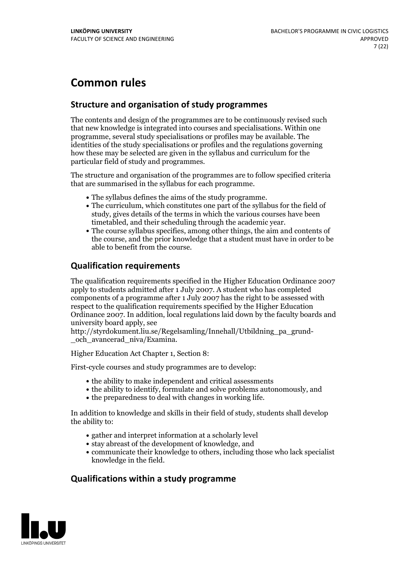## **Common rules**

## **Structure and organisation of study programmes**

The contents and design of the programmes are to be continuously revised such that new knowledge is integrated into courses and specialisations. Within one programme, several study specialisations or profiles may be available. The identities of the study specialisations or profiles and the regulations governing how these may be selected are given in the syllabus and curriculum for the particular field of study and programmes.

The structure and organisation of the programmes are to follow specified criteria that are summarised in the syllabus for each programme.

- 
- The syllabus defines the aims of the study programme.<br>• The curriculum, which constitutes one part of the syllabus for the field of study, gives details of the terms in which the various courses have been
- The course syllabus specifies, among other things, the aim and contents of the course, and the prior knowledge that a student must have in order to be able to benefit from the course.

## **Qualification requirements**

The qualification requirements specified in the Higher Education Ordinance 2007 apply to students admitted after 1 July 2007. A student who has completed components of a programme after 1 July 2007 has the right to be assessed with respect to the qualification requirements specified by the Higher Education Ordinance 2007. In addition, local regulations laid down by the faculty boards and university board apply, see

http://styrdokument.liu.se/Regelsamling/Innehall/Utbildning\_pa\_grund- \_och\_avancerad\_niva/Examina.

Higher Education Act Chapter 1, Section 8:

First-cycle courses and study programmes are to develop:

- the ability to make independent and critical assessments
- the ability to identify, formulate and solve problems autonomously, and
- $\bullet$  the preparedness to deal with changes in working life.

In addition to knowledge and skills in their field of study, students shall develop the ability to:

- gather and interpret information at a scholarly level
- stay abreast of the development of knowledge, and
- communicate their knowledge to others, including those who lack specialist knowledge in the field.

## **Qualifications within a study programme**

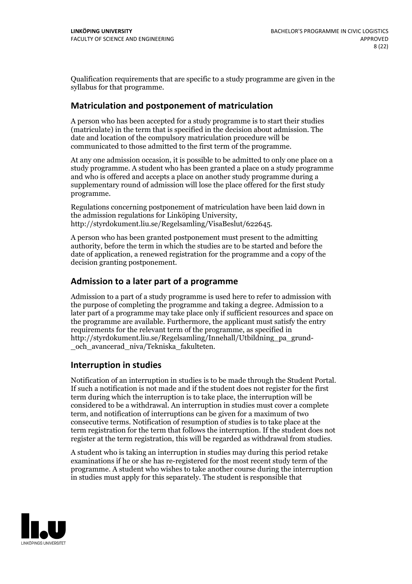Qualification requirements that are specific to a study programme are given in the syllabus for that programme.

## **Matriculation and postponement of matriculation**

A person who has been accepted for a study programme is to start their studies (matriculate) in the term that is specified in the decision about admission. The date and location of the compulsory matriculation procedure will be communicated to those admitted to the first term of the programme.

At any one admission occasion, it is possible to be admitted to only one place on a study programme. A student who has been granted a place on a study programme and who is offered and accepts a place on another study programme during a supplementary round of admission will lose the place offered for the first study programme.

Regulations concerning postponement of matriculation have been laid down in the admission regulations for Linköping University, http://styrdokument.liu.se/Regelsamling/VisaBeslut/622645.

A person who has been granted postponement must present to the admitting authority, before the term in which the studies are to be started and before the date of application, a renewed registration for the programme and a copy of the decision granting postponement.

## **Admission to a later part of a programme**

Admission to a part of a study programme is used here to refer to admission with the purpose of completing the programme and taking a degree. Admission to a later part of a programme may take place only if sufficient resources and space on the programme are available. Furthermore, the applicant must satisfy the entry requirements for the relevant term of the programme, as specified in http://styrdokument.liu.se/Regelsamling/Innehall/Utbildning\_pa\_grund- \_och\_avancerad\_niva/Tekniska\_fakulteten.

## **Interruption in studies**

Notification of an interruption in studies is to be made through the Student Portal. If such <sup>a</sup> notification is not made and if the student does not register for the first term during which the interruption is to take place, the interruption will be considered to be a withdrawal. An interruption in studies must cover a complete term, and notification of interruptions can be given for a maximum of two consecutive terms. Notification of resumption of studies is to take place at the term registration for the term that follows the interruption. If the student does not register at the term registration, this will be regarded as withdrawal from studies.

A student who is taking an interruption in studies may during this period retake examinations if he or she has re-registered for the most recent study term of the programme. A student who wishes to take another course during the interruption in studies must apply for this separately. The student is responsible that

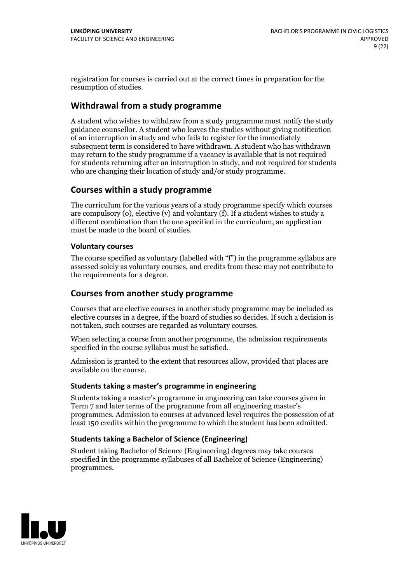registration for courses is carried outat the correct times in preparation for the resumption of studies.

## **Withdrawal from a study programme**

A student who wishes to withdraw from a study programme must notify the study guidance counsellor. A student who leaves the studies without giving notification of an interruption in study and who fails to register for the immediately subsequent term is considered to have withdrawn. A student who has withdrawn may return to the study programme if a vacancy is available that is not required for students returning after an interruption in study, and not required for students who are changing their location of study and/or study programme.

## **Courses within a study programme**

The curriculum for the various years of a study programme specify which courses are compulsory (o), elective (v) and voluntary (f). If a student wishes to study a different combination than the one specified in the curriculum, an application must be made to the board of studies.

### **Voluntarycourses**

The course specified as voluntary (labelled with "f") in the programme syllabus are assessed solely as voluntary courses, and credits from these may not contribute to the requirements for a degree.

## **Courses from another study programme**

Courses that are elective courses in another study programme may be included as elective courses in a degree, if the board of studies so decides. If such a decision is not taken, such courses are regarded as voluntary courses.

When selecting a course from another programme, the admission requirements specified in the course syllabus must be satisfied.

Admission is granted to the extent that resources allow, provided that places are available on the course.

#### **Students taking a master's programme in engineering**

Students taking a master's programme in engineering can take courses given in Term 7 and later terms of the programme from all engineering master's programmes. Admission to courses at advanced level requires the possession of at least 150 credits within the programme to which the student has been admitted.

## **Students taking a Bachelor of Science (Engineering)**

Student taking Bachelor of Science (Engineering) degrees may take courses specified in the programme syllabuses of all Bachelor of Science (Engineering) programmes.

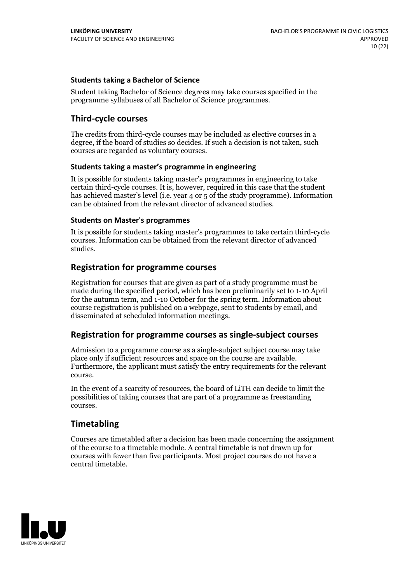### **Students taking a Bachelor of Science**

Student taking Bachelor of Science degrees may take courses specified in the programme syllabuses of all Bachelor of Science programmes.

## **Third-cycle courses**

The credits from third-cycle courses may be included as elective courses in a degree, if the board of studies so decides. If such a decision is not taken, such courses are regarded as voluntary courses.

#### **Students taking a master's programme in engineering**

It is possible for students taking master's programmes in engineering to take certain third-cycle courses. It is, however, required in this case that the student has achieved master's level (i.e. year 4 or 5 of the study programme). Information can be obtained from the relevant director of advanced studies.

#### **Students on Master's programmes**

It is possible for students taking master's programmes to take certain third-cycle courses. Information can be obtained from the relevant director of advanced studies.

## **Registration for programme courses**

Registration for courses that are given as part of a study programme must be made during the specified period, which has been preliminarily set to 1-10 April for the autumn term, and 1-10 October for the spring term. Information about course registration is published on a webpage, sent to students by email, and disseminated at scheduled information meetings.

## **Registration for programme courses as single-subject courses**

Admission to a programme course as a single-subject subject course may take place only if sufficient resources and space on the course are available. Furthermore, the applicant must satisfy the entry requirements for the relevant course.

In the event of a scarcity of resources, the board of LiTH can decide to limit the possibilities of taking courses that are part of a programme as freestanding courses.

## **Timetabling**

Courses are timetabled after a decision has been made concerning the assignment of the course to a timetable module. A central timetable is not drawn up for courses with fewer than five participants. Most project courses do not have a central timetable.

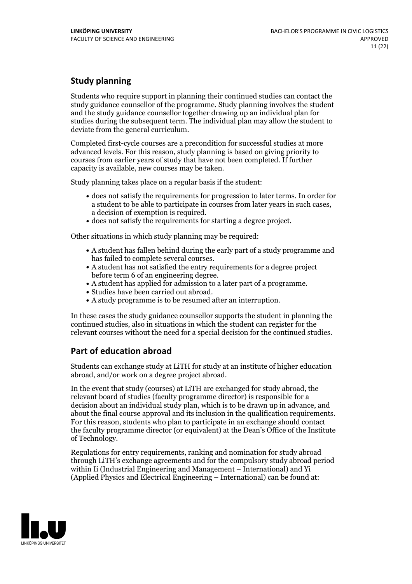## **Study planning**

Students who require support in planning their continued studies can contact the study guidance counsellor of the programme. Study planning involves the student and the study guidance counsellor together drawing up an individual plan for studies during the subsequent term. The individual plan may allow the student to deviate from the general curriculum.

Completed first-cycle courses are a precondition for successful studies at more advanced levels. For this reason, study planning is based on giving priority to courses from earlier years of study that have not been completed. If further capacity is available, new courses may be taken.

Study planning takes place on a regular basis if the student:

- does not satisfy the requirements for progression to later terms. In order for a student to be able to participate in courses from later years in such cases, a decision of exemption is required.<br>
• does not satisfy the requirements for starting a degree project.
- 

Other situations in which study planning may be required:

- A student has fallen behind during the early part of a study programme and has failed to complete several courses.<br>• A student has not satisfied the entry requirements for a degree project
- 
- before term 6 of an engineering degree.<br>• A student has applied for admission to a later part of a programme.<br>• Studies have been carried out abroad.<br>• A study programme is to be resumed after an interruption.
- 
- 

In these cases the study guidance counsellor supports the student in planning the continued studies, also in situations in which the student can register for the relevant courses without the need for a special decision for the continued studies.

## **Part of education abroad**

Students can exchange study at LiTH for study at an institute of higher education abroad, and/or work on a degree project abroad.

In the event that study (courses) at LiTH are exchanged for study abroad, the relevant board of studies (faculty programme director) is responsible for a decision about an individual study plan, which is to be drawn up in advance, and about the final course approval and its inclusion in the qualification requirements. For this reason, students who plan to participate in an exchange should contact the faculty programme director (or equivalent) at the Dean's Office ofthe Institute of Technology.

Regulations for entry requirements, ranking and nomination for study abroad through LiTH's exchange agreements and for the compulsory study abroad period within Ii (Industrial Engineering and Management – International) and Yi (Applied Physics and Electrical Engineering – International) can be found at:

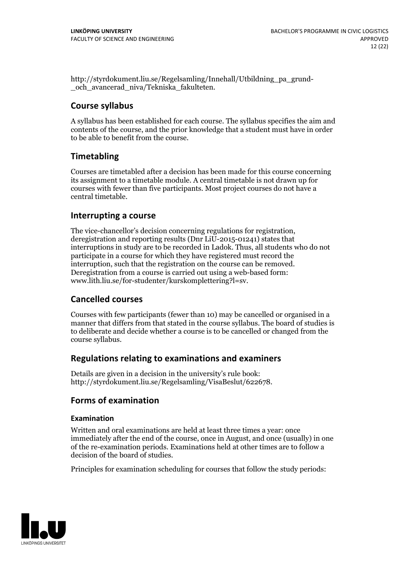http://styrdokument.liu.se/Regelsamling/Innehall/Utbildning\_pa\_grund- \_och\_avancerad\_niva/Tekniska\_fakulteten.

## **Course syllabus**

A syllabus has been established for each course. The syllabus specifies the aim and contents of the course, and the prior knowledge that a student must have in order to be able to benefit from the course.

## **Timetabling**

Courses are timetabled after a decision has been made for this course concerning its assignment to a timetable module. A central timetable is not drawn up for courses with fewer than five participants. Most project courses do not have a central timetable.

## **Interrupting a course**

The vice-chancellor's decision concerning regulations for registration, deregistration and reporting results (Dnr LiU-2015-01241) states that interruptions in study are to be recorded in Ladok. Thus, all students who do not participate in a course for which they have registered must record the interruption, such that the registration on the course can be removed. Deregistration from <sup>a</sup> course is carried outusing <sup>a</sup> web-based form: www.lith.liu.se/for-studenter/kurskomplettering?l=sv.

## **Cancelled courses**

Courses with few participants (fewer than 10) may be cancelled or organised in a manner that differs from that stated in the course syllabus. The board of studies is to deliberate and decide whether a course is to be cancelled orchanged from the course syllabus.

## **Regulations relatingto examinations and examiners**

Details are given in a decision in the university's rule book: http://styrdokument.liu.se/Regelsamling/VisaBeslut/622678.

## **Forms of examination**

## **Examination**

Written and oral examinations are held at least three times a year: once immediately after the end of the course, once in August, and once (usually) in one of the re-examination periods. Examinations held at other times are to follow a decision of the board of studies.

Principles for examination scheduling for courses that follow the study periods:

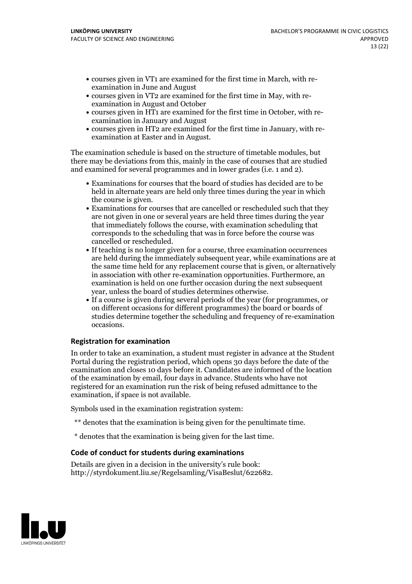- courses given in VT1 are examined for the first time in March, with re-examination in June and August
- courses given in VT2 are examined for the first time in May, with re-examination in August and October
- courses given in HT1 are examined for the first time in October, with re-examination in January and August
- courses given in HT2 are examined for the first time in January, with re-examination at Easter and in August.

The examination schedule is based on the structure of timetable modules, but there may be deviations from this, mainly in the case of courses that are studied and examined for several programmes and in lower grades (i.e. 1 and 2).

- Examinations for courses that the board of studies has decided are to be held in alternate years are held only three times during the year in which the course is given.<br>• Examinations for courses that are cancelled or rescheduled such that they
- are not given in one or several years are held three times during the year that immediately follows the course, with examination scheduling that corresponds to the scheduling that was in force before the course was cancelled or rescheduled.<br>• If teaching is no longer given for a course, three examination occurrences
- are held during the immediately subsequent year, while examinations are at the same time held for any replacement course that is given, or alternatively in association with other re-examination opportunities. Furthermore, an examination is held on one further occasion during the next subsequent
- year, unless the board of studies determines otherwise.<br>If a course is given during several periods of the year (for programmes, or on different occasions for different programmes) the board or boards of studies determine together the scheduling and frequency of re-examination occasions.

#### **Registration for examination**

In order to take an examination, a student must register in advance at the Student Portal during the registration period, which opens 30 days before the date of the examination and closes 10 days before it. Candidates are informed of the location of the examination by email, four days in advance. Students who have not registered for an examination run the risk of being refused admittance to the examination, if space is not available.

Symbols used in the examination registration system:

- \*\* denotes that the examination is being given for the penultimate time.
- \* denotes that the examination is being given for the last time.

#### **Code of conduct for students during examinations**

Details are given in a decision in the university's rule book: http://styrdokument.liu.se/Regelsamling/VisaBeslut/622682.

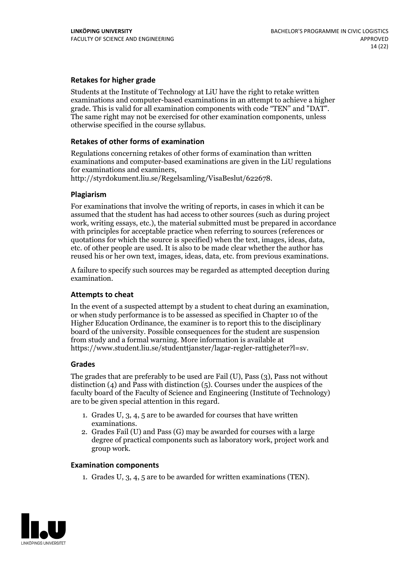### **Retakes for higher grade**

Students at the Institute of Technology at LiU have the right to retake written examinations and computer-based examinations in an attempt to achieve a higher grade. This is valid for all examination components with code "TEN" and "DAT". The same right may not be exercised for other examination components, unless otherwise specified in the course syllabus.

#### **Retakes of other forms of examination**

Regulations concerning retakes of other forms of examination than written examinations and computer-based examinations are given in the LiU regulations

http://styrdokument.liu.se/Regelsamling/VisaBeslut/622678.

#### **Plagiarism**

For examinations that involve the writing of reports, in cases in which it can be assumed that the student has had access to other sources (such as during project work, writing essays, etc.), the material submitted must be prepared in accordance with principles for acceptable practice when referring to sources (references or quotations for which the source is specified) when the text, images, ideas, data, etc. of other people are used. It is also to be made clear whether the author has reused his or her own text, images, ideas, data, etc. from previous examinations.

A failure to specify such sources may be regarded as attempted deception during examination.

#### **Attempts to cheat**

In the event of <sup>a</sup> suspected attempt by <sup>a</sup> student to cheat during an examination, or when study performance is to be assessed as specified in Chapter <sup>10</sup> of the Higher Education Ordinance, the examiner is to report this to the disciplinary board of the university. Possible consequences for the student are suspension from study and a formal warning. More information is available at https://www.student.liu.se/studenttjanster/lagar-regler-rattigheter?l=sv.

#### **Grades**

The grades that are preferably to be used are Fail (U), Pass (3), Pass not without distinction  $(4)$  and Pass with distinction  $(5)$ . Courses under the auspices of the faculty board of the Faculty of Science and Engineering (Institute of Technology) are to be given special attention in this regard.

- 1. Grades U, 3, 4, 5 are to be awarded for courses that have written
- examinations. 2. Grades Fail (U) and Pass (G) may be awarded for courses with <sup>a</sup> large degree of practical components such as laboratory work, project work and group work.

#### **Examination components**

1. Grades U, 3, 4, 5 are to be awarded for written examinations (TEN).

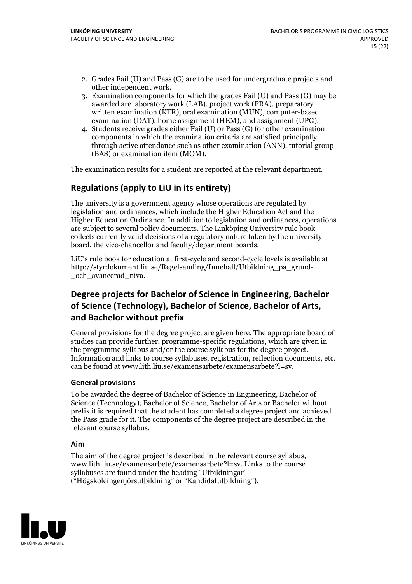- 2. Grades Fail (U) and Pass (G) are to be used for undergraduate projects and other independent work. 3. Examination components for which the grades Fail (U) and Pass (G) may be
- awarded are laboratory work (LAB), project work (PRA), preparatory written examination (KTR), oral examination (MUN), computer-based
- examination (DAT), home assignment (HEM), and assignment (UPG). 4. Students receive grades either Fail (U) or Pass (G) for other examination components in which the examination criteria are satisfied principally through active attendance such as other examination (ANN), tutorial group (BAS) or examination item (MOM).

The examination results for a student are reported at the relevant department.

## **Regulations (applyto LiU in its entirety)**

The university is a government agency whose operations are regulated by legislation and ordinances, which include the Higher Education Act and the Higher Education Ordinance. In addition to legislation and ordinances, operations are subject to several policy documents. The Linköping University rule book collects currently valid decisions of a regulatory nature taken by the university board, the vice-chancellor and faculty/department boards.

LiU's rule book for education at first-cycle and second-cycle levels is available at http://styrdokument.liu.se/Regelsamling/Innehall/Utbildning\_pa\_grund- \_och\_avancerad\_niva.

## **Degree projects for Bachelor of Science in Engineering, Bachelor ofScience (Technology), Bachelor ofScience, Bachelor of Arts, and Bachelor without prefix**

General provisions for the degree project are given here. The appropriate board of studies can provide further, programme-specific regulations, which are given in the programme syllabus and/or the course syllabus for the degree project. Information and links to course syllabuses, registration, reflection documents, etc. can be found at www.lith.liu.se/examensarbete/examensarbete?l=sv.

## **General provisions**

To be awarded the degree of Bachelor of Science in Engineering, Bachelor of Science (Technology), Bachelor of Science, Bachelor of Arts or Bachelor without prefix it is required that the student has completed a degree project and achieved the Pass grade for it. The components of the degree project are described in the relevant course syllabus.

#### **Aim**

The aim of the degree project is described in the relevant course syllabus, www.lith.liu.se/examensarbete/examensarbete?l=sv. Links to the course syllabuses are found under the heading "Utbildningar" ("Högskoleingenjörsutbildning" or "Kandidatutbildning").

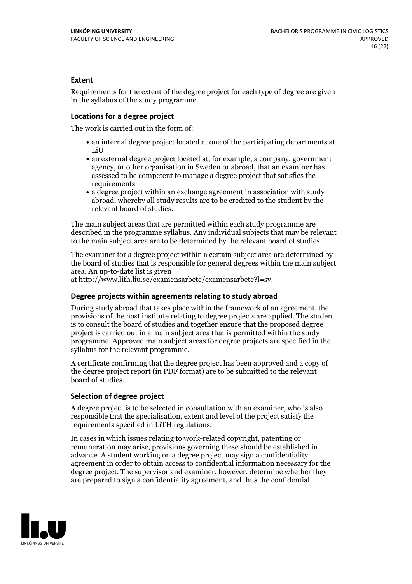### **Extent**

Requirements for the extent of the degree project for each type of degree are given in the syllabus of the study programme.

#### **Locations for a degree project**

The work is carried out in the form of:

- an internal degree project located at one of the participating departments at LiU
- an external degree project located at, for example, a company, government agency, or other organisation in Sweden or abroad, that an examiner has assessed to be competent to manage a degree project that satisfies the requirements
- a degree project within an exchange agreement in association with study abroad, whereby all study results are to be credited to the student by the relevant board of studies.

The main subject areas that are permitted within each study programme are described in the programme syllabus. Any individual subjects that may be relevant to the main subject area are to be determined by the relevant board of studies.

The examiner for a degree project within a certain subject area are determined by the board of studies that is responsible for general degrees within the main subject area. An up-to-date list is given

at http://www.lith.liu.se/examensarbete/examensarbete?l=sv.

#### **Degree projects within agreements relatingto study abroad**

During study abroad that takes place within the framework of an agreement, the provisions of the host institute relating to degree projects are applied. The student is to consult the board of studies and together ensure that the proposed degree project is carried outin a main subject area that is permitted within the study programme. Approved main subject areas for degree projects are specified in the syllabus for the relevant programme.

A certificate confirming that the degree project has been approved and a copy of the degree project report (in PDF format) are to be submitted to the relevant board of studies.

#### **Selection of degree project**

A degree project is to be selected in consultation with an examiner, who is also responsible that the specialisation, extent and level of the project satisfy the requirements specified in LiTH regulations.

In cases in which issues relating to work-related copyright, patenting or remuneration may arise, provisions governing these should be established in advance. A student working on a degree project may sign a confidentiality agreement in order to obtain access to confidential information necessary for the degree project. The supervisor and examiner, however, determine whether they are prepared to sign a confidentiality agreement, and thus the confidential

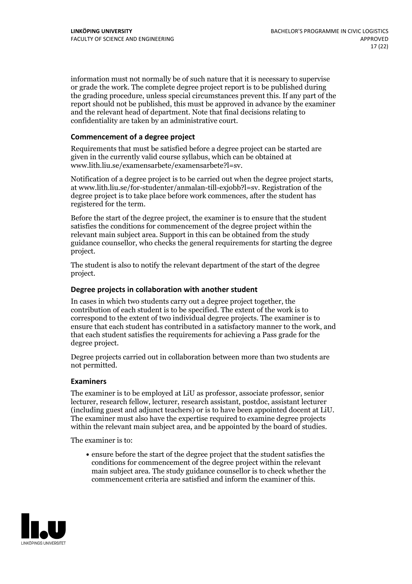information must not normally be of such nature that it is necessary to supervise or grade the work. The complete degree project report is to be published during the grading procedure, unless special circumstances prevent this. If any part of the report should not be published, this must be approved in advance by the examiner and the relevant head of department. Note that final decisions relating to confidentiality are taken by an administrative court.

#### **Commencement of a degree project**

Requirements that must be satisfied before a degree project can be started are given in the currently valid course syllabus, which can be obtained at www.lith.liu.se/examensarbete/examensarbete?l=sv.

Notification of <sup>a</sup> degree project is to be carried outwhen the degree project starts, at www.lith.liu.se/for-studenter/anmalan-till-exjobb?l=sv. Registration of the degree project is to take place before work commences, after the student has registered for the term.

Before the start of the degree project, the examiner is to ensure that the student satisfies the conditions for commencement of the degree project within the relevant main subject area. Support in this can be obtained from the study guidance counsellor, who checks the general requirements for starting the degree project.

The student is also to notify the relevant department of the start of the degree project.

#### **Degree projects in collaboration with another student**

In cases in which two students carry out a degree project together, the contribution of each student is to be specified. The extent of the work is to correspond to the extent of two individual degree projects. The examiner is to ensure that each student has contributed in a satisfactory manner to the work, and that each student satisfies the requirements for achieving a Pass grade for the degree project.

Degree projects carried out in collaboration between more than two students are not permitted.

#### **Examiners**

The examiner is to be employed at LiU as professor, associate professor, senior lecturer, research fellow, lecturer, research assistant, postdoc, assistant lecturer (including guest and adjunct teachers) or is to have been appointed docent at LiU. The examiner must also have the expertise required to examine degree projects within the relevant main subject area, and be appointed by the board of studies.

The examiner is to:

ensure before the start of the degree project that the student satisfies the conditions for commencement of the degree project within the relevant main subject area. The study guidance counsellor is to check whether the commencement criteria are satisfied and inform the examiner of this.

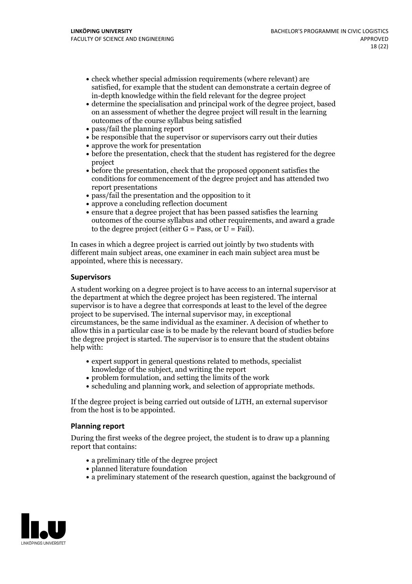- check whether special admission requirements (where relevant) are satisfied, for example that the student can demonstrate a certain degree of in-depth knowledge within the field relevant for the degree project
- determine the specialisation and principal work of the degree project, based on an assessment of whether the degree project will result in the learning outcomes of the course syllabus being satisfied
- pass/fail the planning report
- be responsible that the supervisor or supervisors carry out their duties
- approve the work for presentation
- before the presentation, check that the student has registered for the degree project
- before the presentation, check that the proposed opponent satisfies the conditions for commencement of the degree project and has attended two report presentations
- pass/fail the presentation and the opposition to it
- approve a concluding reflection document
- ensure that a degree project that has been passed satisfies the learning outcomes of the course syllabus and other requirements, and award a grade to the degree project (either  $G = Pass$ , or  $U = Fail$ ).

In cases in which a degree project is carried out jointly by two students with different main subject areas, one examiner in each main subject area must be appointed, where this is necessary.

#### **Supervisors**

A student working on a degree project is to have access to an internal supervisor at the department at which the degree project has been registered. The internal supervisor is to have a degree that corresponds at least to the level of the degree project to be supervised. The internal supervisor may, in exceptional circumstances, be the same individual as the examiner. A decision of whether to allow this in a particular case is to be made by the relevant board of studies before the degree project is started. The supervisor is to ensure that the student obtains help with:

- expert support in general questions related to methods, specialist knowledge ofthe subject, and writing the report
- problem formulation, and setting the limits of the work
- scheduling and planning work, and selection of appropriate methods.

If the degree project is being carried out outside of LiTH, an external supervisor from the host is to be appointed.

#### **Planning report**

During the first weeks of the degree project, the student is to draw up a planning report that contains:

- $\bullet$  a preliminary title of the degree project
- planned literature foundation
- a preliminary statement of the research question, against the background of

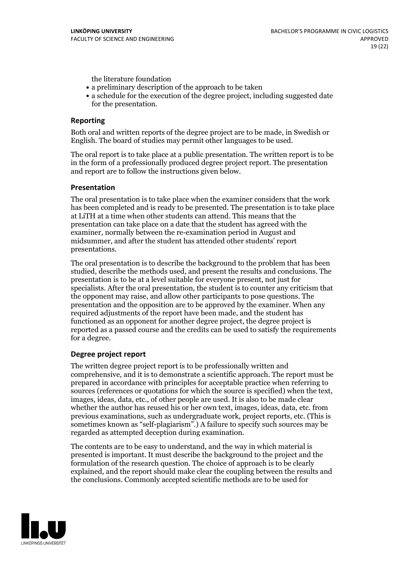the literature foundation

- a preliminary description of the approach to be taken
- a schedule for the execution of the degree project, including suggested date for the presentation.

### **Reporting**

Both oral and written reports of the degree project are to be made, in Swedish or English. The board of studies may permit other languages to be used.

The oral report is to take place at a public presentation. The written report is to be in the form of a professionally produced degree project report. The presentation and report are to follow the instructions given below.

#### **Presentation**

The oral presentation is to take place when the examiner considers that the work has been completed and is ready to be presented. The presentation is to take place at LiTH at a time when other students can attend. This means that the presentation can take place on a date that the student has agreed with the examiner, normally between the re-examination period in August and midsummer, and after the student has attended other students' report presentations.

The oral presentation is to describe the background to the problem that has been studied, describe the methods used, and present the results and conclusions. The presentation is to be at a level suitable for everyone present, not just for specialists. After the oral presentation, the student is to counter any criticism that the opponent may raise, and allow other participants to pose questions. The presentation and the opposition are to be approved by the examiner. When any required adjustments of the report have been made, and the student has functioned as an opponent for another degree project, the degree project is reported as a passed course and the credits can be used to satisfy the requirements for a degree.

#### **Degree project report**

The written degree project report is to be professionally written and comprehensive, and it is to demonstrate a scientific approach. The report must be prepared in accordance with principles for acceptable practice when referring to sources (references or quotations for which the source is specified) when the text, images, ideas, data, etc., of other people are used. It is also to be made clear whether the author has reused his or her own text, images, ideas, data, etc. from previous examinations, such asundergraduate work, project reports, etc. (This is sometimes known as "self-plagiarism".) A failure to specify such sources may be regarded as attempted deception during examination.

The contents are to be easy to understand, and the way in which material is presented is important. It must describe the background to the project and the formulation of the research question. The choice of approach is to be clearly explained, and the report should make clear the coupling between the results and the conclusions. Commonly accepted scientific methods are to be used for

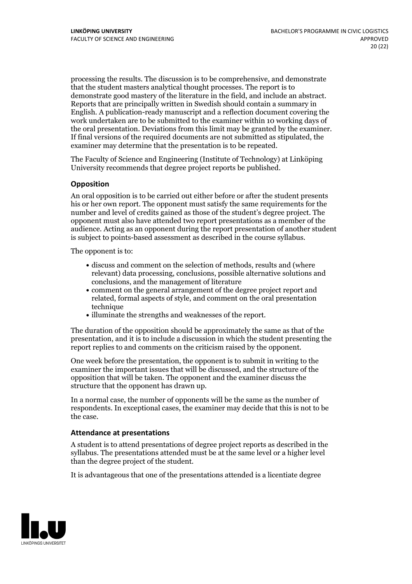processing the results. The discussion is to be comprehensive, and demonstrate that the student masters analytical thought processes. The report is to demonstrate good mastery of the literature in the field, and include an abstract. Reports that are principally written in Swedish should contain <sup>a</sup> summary in English. A publication-ready manuscript and a reflection document covering the work undertaken are to be submitted to the examiner within 10 working days of the oral presentation. Deviations from this limit may be granted by the examiner. If final versions of the required documents are not submitted as stipulated, the examiner may determine that the presentation is to be repeated.

The Faculty of Science and Engineering (Institute of Technology) at Linköping University recommends that degree project reports be published.

#### **Opposition**

An oral opposition is to be carried out either before or after the student presents his or her own report. The opponent must satisfy the same requirements for the number and level of credits gained as those of the student's degree project. The opponent must also have attended two report presentations as a member of the audience. Acting as an opponent during the report presentation of another student is subject to points-based assessment as described in the course syllabus.

The opponent is to:

- discuss and comment on the selection of methods, results and (where relevant) data processing, conclusions, possible alternative solutions and conclusions, and the management of literature
- comment on the general arrangement of the degree project report and related, formal aspects of style, and comment on the oral presentation technique
- illuminate the strengths and weaknesses of the report.

The duration of the opposition should be approximately the same as that of the presentation, and it is to include a discussion in which the student presenting the report replies to and comments on the criticism raised by the opponent.

One week before the presentation, the opponent is to submit in writing to the examiner the important issues that will be discussed, and the structure of the opposition that will be taken. The opponent and the examiner discuss the structure that the opponent has drawn up.

In a normal case, the number of opponents will be the same as the number of respondents. In exceptional cases, the examiner may decide that this is not to be the case.

#### **Attendance at presentations**

A student is to attend presentations of degree project reports as described in the syllabus. The presentations attended must be atthe same level or a higher level than the degree project of the student.

It is advantageous that one of the presentations attended is a licentiate degree

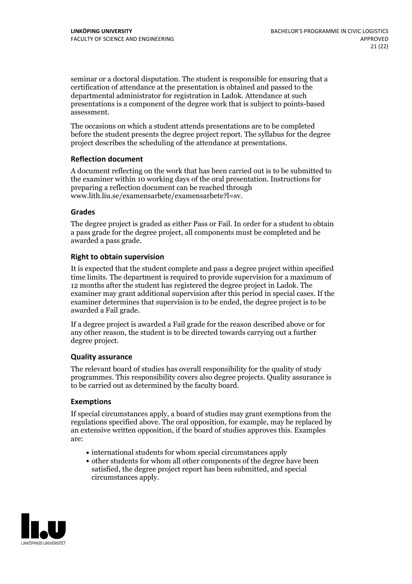seminar or a doctoral disputation. The student is responsible for ensuring that a certification of attendance at the presentation is obtained and passed to the departmental administrator for registration in Ladok. Attendance at such presentations is a component of the degree work that is subject to points-based assessment.

The occasions on which a student attends presentations are to be completed before the student presents the degree project report. The syllabus for the degree project describes the scheduling of the attendance at presentations.

#### **Reflection document**

A document reflecting on the work that has been carried out is to be submitted to the examiner within 10 working days of the oral presentation. Instructions for preparing a reflection document can be reached through www.lith.liu.se/examensarbete/examensarbete?l=sv.

### **Grades**

The degree project is graded as either Pass or Fail. In order for a student to obtain a pass grade for the degree project, all components must be completed and be awarded a pass grade.

### **Right to obtain supervision**

It is expected that the student complete and pass a degree project within specified time limits. The department is required to provide supervision for a maximum of 12 months after the student has registered the degree project in Ladok. The examiner may grant additional supervision after this period in special cases. If the examiner determines that supervision is to be ended, the degree project is to be awarded a Fail grade.

If a degree project is awarded a Fail grade for the reason described above or for any other reason, the student is to be directed towards carrying out a further degree project.

## **Quality assurance**

The relevant board of studies has overall responsibility for the quality of study programmes. This responsibility covers also degree projects. Quality assurance is to be carried out as determined by the faculty board.

#### **Exemptions**

If special circumstances apply, a board of studies may grant exemptions from the regulations specified above. The oral opposition, for example, may be replaced by an extensive written opposition, if the board of studies approves this. Examples are:

- international students for whom special circumstances apply
- other students for whom all other components of the degree have been satisfied, the degree project report has been submitted, and special circumstances apply.